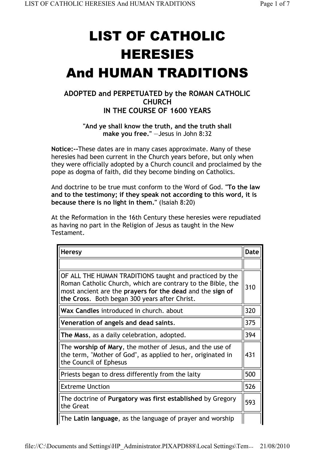## LIST OF CATHOLIC HERESIES And HUMAN TRADITIONS

## **ADOPTED and PERPETUATED by the ROMAN CATHOLIC CHURCH IN THE COURSE OF 1600 YEARS**

## **"And ye shall know the truth, and the truth shall make you free."** —Jesus in John 8:32

**Notice:--**These dates are in many cases approximate. Many of these heresies had been current in the Church years before, but only when they were officially adopted by a Church council and proclaimed by the pope as dogma of faith, did they become binding on Catholics.

And doctrine to be true must conform to the Word of God. **"To the law and to the testimony; if they speak not according to this word, it is because there is no light in them."** (Isaiah 8:20)

At the Reformation in the 16th Century these heresies were repudiated as having no part in the Religion of Jesus as taught in the New Testament.

| <b>Heresy</b>                                                                                                                                                                                                                        | Date |
|--------------------------------------------------------------------------------------------------------------------------------------------------------------------------------------------------------------------------------------|------|
|                                                                                                                                                                                                                                      |      |
| OF ALL THE HUMAN TRADITIONS taught and practiced by the<br>Roman Catholic Church, which are contrary to the Bible, the<br>most ancient are the prayers for the dead and the sign of<br>the Cross. Both began 300 years after Christ. | 310  |
| Wax Candles introduced in church. about                                                                                                                                                                                              | 320  |
| Veneration of angels and dead saints.                                                                                                                                                                                                | 375  |
| The Mass, as a daily celebration, adopted.                                                                                                                                                                                           | 394  |
| The worship of Mary, the mother of Jesus, and the use of<br>the term, "Mother of God", as applied to her, originated in<br>the Council of Ephesus                                                                                    | 431  |
| Priests began to dress differently from the laity                                                                                                                                                                                    | 500  |
| <b>Extreme Unction</b>                                                                                                                                                                                                               | 526  |
| The doctrine of Purgatory was first established by Gregory<br>the Great                                                                                                                                                              | 593  |
| The Latin language, as the language of prayer and worship                                                                                                                                                                            |      |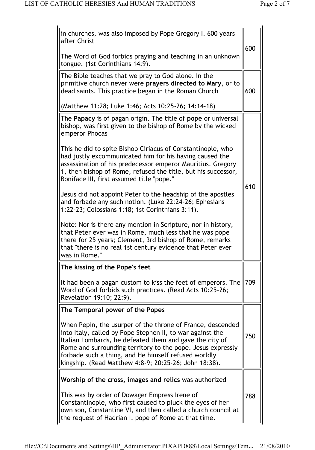| in churches, was also imposed by Pope Gregory I. 600 years<br>after Christ                                                                                                                                                                                                                                                                                         | 600 |
|--------------------------------------------------------------------------------------------------------------------------------------------------------------------------------------------------------------------------------------------------------------------------------------------------------------------------------------------------------------------|-----|
| The Word of God forbids praying and teaching in an unknown<br>tongue. (1st Corinthians 14:9).                                                                                                                                                                                                                                                                      |     |
| The Bible teaches that we pray to God alone. In the<br>primitive church never were prayers directed to Mary, or to<br>dead saints. This practice began in the Roman Church                                                                                                                                                                                         | 600 |
| (Matthew 11:28; Luke 1:46; Acts 10:25-26; 14:14-18)                                                                                                                                                                                                                                                                                                                |     |
| The Papacy is of pagan origin. The title of pope or universal<br>bishop, was first given to the bishop of Rome by the wicked<br>emperor Phocas                                                                                                                                                                                                                     |     |
| This he did to spite Bishop Ciriacus of Constantinople, who<br>had justly excommunicated him for his having caused the<br>assassination of his predecessor emperor Mauritius. Gregory<br>1, then bishop of Rome, refused the title, but his successor,<br>Boniface III, first assumed title "pope."                                                                | 610 |
| Jesus did not appoint Peter to the headship of the apostles<br>and forbade any such notion. (Luke 22:24-26; Ephesians<br>1:22-23; Colossians 1:18; 1st Corinthians 3:11).                                                                                                                                                                                          |     |
| Note: Nor is there any mention in Scripture, nor in history,<br>that Peter ever was in Rome, much less that he was pope<br>there for 25 years; Clement, 3rd bishop of Rome, remarks<br>that "there is no real 1st century evidence that Peter ever<br>was in Rome."                                                                                                |     |
| The kissing of the Pope's feet                                                                                                                                                                                                                                                                                                                                     |     |
| It had been a pagan custom to kiss the feet of emperors. The<br>Word of God forbids such practices. (Read Acts 10:25-26;<br>Revelation 19:10; 22:9).                                                                                                                                                                                                               | 709 |
| The Temporal power of the Popes                                                                                                                                                                                                                                                                                                                                    |     |
| When Pepin, the usurper of the throne of France, descended<br>into Italy, called by Pope Stephen II, to war against the<br>Italian Lombards, he defeated them and gave the city of<br>Rome and surrounding territory to the pope. Jesus expressly<br>forbade such a thing, and He himself refused worldly<br>kingship. (Read Matthew 4:8-9; 20:25-26; John 18:38). | 750 |
| Worship of the cross, images and relics was authorized                                                                                                                                                                                                                                                                                                             |     |
| This was by order of Dowager Empress Irene of<br>Constantinople, who first caused to pluck the eyes of her<br>own son, Constantine VI, and then called a church council at<br>the request of Hadrian I, pope of Rome at that time.                                                                                                                                 | 788 |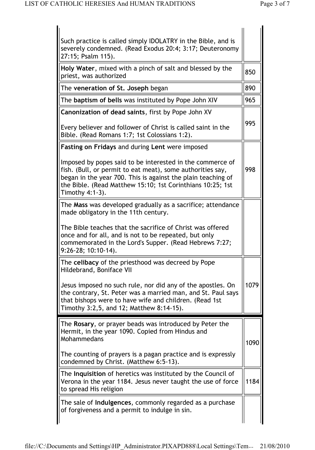| Such practice is called simply IDOLATRY in the Bible, and is<br>severely condemned. (Read Exodus 20:4; 3:17; Deuteronomy<br>27:15; Psalm 115).                                                                                                                           |      |
|--------------------------------------------------------------------------------------------------------------------------------------------------------------------------------------------------------------------------------------------------------------------------|------|
| Holy Water, mixed with a pinch of salt and blessed by the<br>priest, was authorized                                                                                                                                                                                      | 850  |
| The veneration of St. Joseph began                                                                                                                                                                                                                                       | 890  |
| The baptism of bells was instituted by Pope John XIV                                                                                                                                                                                                                     | 965  |
| <b>Canonization of dead saints, first by Pope John XV</b>                                                                                                                                                                                                                |      |
| Every believer and follower of Christ is called saint in the<br>Bible. (Read Romans 1:7; 1st Colossians 1:2).                                                                                                                                                            | 995  |
| Fasting on Fridays and during Lent were imposed                                                                                                                                                                                                                          |      |
| Imposed by popes said to be interested in the commerce of<br>fish. (Bull, or permit to eat meat), some authorities say,<br>began in the year 700. This is against the plain teaching of<br>the Bible. (Read Matthew 15:10; 1st Corinthians 10:25; 1st<br>Timothy 4:1-3). | 998  |
| The Mass was developed gradually as a sacrifice; attendance<br>made obligatory in the 11th century.                                                                                                                                                                      |      |
| The Bible teaches that the sacrifice of Christ was offered<br>once and for all, and is not to be repeated, but only<br>commemorated in the Lord's Supper. (Read Hebrews 7:27;<br>$9:26-28$ ; 10:10-14).                                                                  |      |
| The celibacy of the priesthood was decreed by Pope<br>Hildebrand, Boniface VII                                                                                                                                                                                           |      |
| Jesus imposed no such rule, nor did any of the apostles. On<br>the contrary, St. Peter was a married man, and St. Paul says<br>that bishops were to have wife and children. (Read 1st<br>Timothy 3:2,5, and 12; Matthew 8:14-15).                                        | 1079 |
| The Rosary, or prayer beads was introduced by Peter the                                                                                                                                                                                                                  |      |
| Hermit, in the year 1090. Copied from Hindus and<br>Mohammedans                                                                                                                                                                                                          |      |
|                                                                                                                                                                                                                                                                          | 1090 |
| The counting of prayers is a pagan practice and is expressly<br>condemned by Christ. (Matthew 6:5-13).                                                                                                                                                                   |      |
| The Inquisition of heretics was instituted by the Council of<br>Verona in the year 1184. Jesus never taught the use of force<br>to spread His religion                                                                                                                   | 1184 |
| The sale of <b>Indulgences</b> , commonly regarded as a purchase<br>of forgiveness and a permit to indulge in sin.                                                                                                                                                       |      |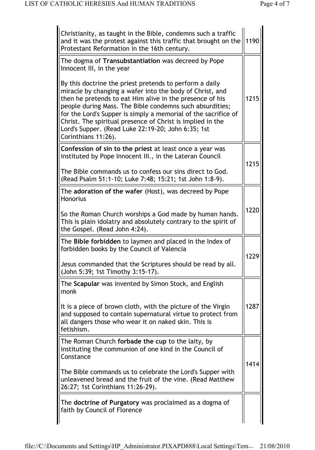| Christianity, as taught in the Bible, condemns such a traffic<br>and it was the protest against this traffic that brought on the<br>Protestant Reformation in the 16th century.                                                                                                                                                                                                                                                                          | 1190 |
|----------------------------------------------------------------------------------------------------------------------------------------------------------------------------------------------------------------------------------------------------------------------------------------------------------------------------------------------------------------------------------------------------------------------------------------------------------|------|
| The dogma of Transubstantiation was decreed by Pope<br>Innocent III, in the year                                                                                                                                                                                                                                                                                                                                                                         |      |
| By this doctrine the priest pretends to perform a daily<br>miracle by changing a wafer into the body of Christ, and<br>then he pretends to eat Him alive in the presence of his<br>people during Mass. The Bible condemns such absurdities;<br>for the Lord's Supper is simply a memorial of the sacrifice of<br>Christ. The spiritual presence of Christ is implied in the<br>Lord's Supper. (Read Luke 22:19-20; John 6:35; 1st<br>Corinthians 11:26). | 1215 |
| Confession of sin to the priest at least once a year was<br>instituted by Pope Innocent III., in the Lateran Council                                                                                                                                                                                                                                                                                                                                     | 1215 |
| The Bible commands us to confess our sins direct to God.<br>(Read Psalm 51:1-10; Luke 7:48; 15:21; 1st John 1:8-9).                                                                                                                                                                                                                                                                                                                                      |      |
| The adoration of the wafer (Host), was decreed by Pope<br><b>Honorius</b>                                                                                                                                                                                                                                                                                                                                                                                |      |
| So the Roman Church worships a God made by human hands.<br>This is plain idolatry and absolutely contrary to the spirit of<br>the Gospel. (Read John 4:24).                                                                                                                                                                                                                                                                                              | 1220 |
| The <b>Bible forbidden</b> to laymen and placed in the Index of<br>forbidden books by the Council of Valencia                                                                                                                                                                                                                                                                                                                                            |      |
| Jesus commanded that the Scriptures should be read by all.<br>(John 5:39; 1st Timothy 3:15-17).                                                                                                                                                                                                                                                                                                                                                          | 1229 |
| The Scapular was invented by Simon Stock, and English<br>monk                                                                                                                                                                                                                                                                                                                                                                                            |      |
| It is a piece of brown cloth, with the picture of the Virgin<br>and supposed to contain supernatural virtue to protect from<br>all dangers those who wear it on naked skin. This is<br>fetishism.                                                                                                                                                                                                                                                        | 1287 |
| The Roman Church forbade the cup to the laity, by<br>instituting the communion of one kind in the Council of<br>Constance                                                                                                                                                                                                                                                                                                                                |      |
| The Bible commands us to celebrate the Lord's Supper with<br>unleavened bread and the fruit of the vine. (Read Matthew<br>26:27; 1st Corinthians 11:26-29).                                                                                                                                                                                                                                                                                              | 1414 |
| The doctrine of Purgatory was proclaimed as a dogma of<br>faith by Council of Florence                                                                                                                                                                                                                                                                                                                                                                   |      |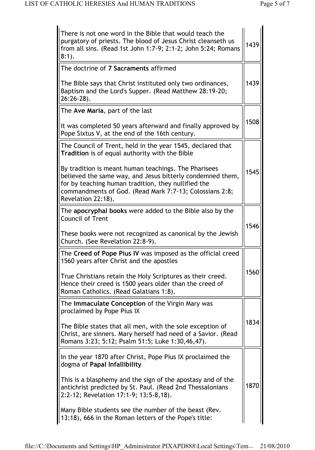| There is not one word in the Bible that would teach the<br>purgatory of priests. The blood of Jesus Christ cleanseth us<br>from all sins. (Read 1st John 1:7-9; 2:1-2; John 5:24; Romans<br>$8:1$ ).                                                      | 1439 |
|-----------------------------------------------------------------------------------------------------------------------------------------------------------------------------------------------------------------------------------------------------------|------|
| The doctrine of 7 Sacraments affirmed                                                                                                                                                                                                                     |      |
| The Bible says that Christ instituted only two ordinances,<br>Baptism and the Lord's Supper. (Read Matthew 28:19-20;<br>$26:26-28$ ).                                                                                                                     | 1439 |
| The Ave Maria, part of the last                                                                                                                                                                                                                           |      |
| It was completed 50 years afterward and finally approved by<br>Pope Sixtus V, at the end of the 16th century.                                                                                                                                             | 1508 |
| The Council of Trent, held in the year 1545, declared that<br><b>Tradition</b> is of equal authority with the Bible                                                                                                                                       |      |
| By tradition is meant human teachings. The Pharisees<br>believed the same way, and Jesus bitterly condemned them,<br>for by teaching human tradition, they nullified the<br>commandments of God. (Read Mark 7:7-13; Colossians 2:8;<br>Revelation 22:18). | 1545 |
| The apocryphal books were added to the Bible also by the<br><b>Council of Trent</b>                                                                                                                                                                       |      |
| These books were not recognized as canonical by the Jewish<br>Church. (See Revelation 22:8-9).                                                                                                                                                            | 1546 |
| The Creed of Pope Pius IV was imposed as the official creed<br>1560 years after Christ and the apostles                                                                                                                                                   |      |
| True Christians retain the Holy Scriptures as their creed.<br>Hence their creed is 1500 years older than the creed of<br>Roman Catholics. (Read Galatians 1:8).                                                                                           | 1560 |
| The Immaculate Conception of the Virgin Mary was<br>proclaimed by Pope Pius IX                                                                                                                                                                            |      |
| The Bible states that all men, with the sole exception of<br>Christ, are sinners. Mary herself had need of a Savior. (Read<br>Romans 3:23; 5:12; Psalm 51:5; Luke 1:30,46,47).                                                                            | 1834 |
| In the year 1870 after Christ, Pope Pius IX proclaimed the<br>dogma of Papal Infallibility                                                                                                                                                                |      |
| This is a blasphemy and the sign of the apostasy and of the<br>antichrist predicted by St. Paul. (Read 2nd Thessalonians<br>2:2-12; Revelation 17:1-9; 13:5-8,18).                                                                                        | 1870 |
| Many Bible students see the number of the beast (Rev.<br>13:18), 666 in the Roman letters of the Pope's title:                                                                                                                                            |      |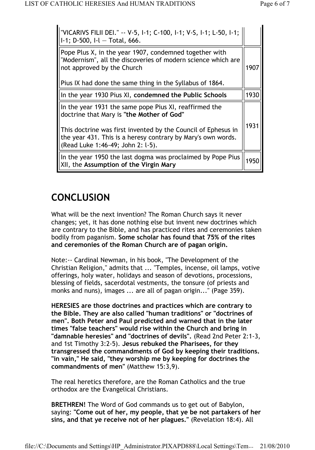| "VICARIVS FILII DEI." -- V-5, I-1; C-100, I-1; V-S, I-1; L-50, I-1;<br>$I-1$ ; D-500, $I-I$ Total, 666.                                                            |      |
|--------------------------------------------------------------------------------------------------------------------------------------------------------------------|------|
| Pope Plus X, in the year 1907, condemned together with<br>"Modernism", all the discoveries of modern science which are<br>not approved by the Church               | 1907 |
| Pius IX had done the same thing in the Syllabus of 1864.                                                                                                           |      |
| In the year 1930 Pius XI, condemned the Public Schools                                                                                                             | 1930 |
| In the year 1931 the same pope Pius XI, reaffirmed the<br>doctrine that Mary is "the Mother of God"                                                                |      |
| This doctrine was first invented by the Council of Ephesus in<br>the year 431. This is a heresy contrary by Mary's own words.<br>(Read Luke 1:46-49; John 2: l-5). | 1931 |
| In the year 1950 the last dogma was proclaimed by Pope Pius<br>XII, the Assumption of the Virgin Mary                                                              | 1950 |

## **CONCLUSION**

What will be the next invention? The Roman Church says it never changes; yet, it has done nothing else but invent new doctrines which are contrary to the Bible, and has practiced rites and ceremonies taken bodily from paganism. **Some scholar has found that 75% of the rites and ceremonies of the Roman Church are of pagan origin.**

Note:-- Cardinal Newman, in his book, "The Development of the Christian Religion," admits that ... "Temples, incense, oil lamps, votive offerings, holy water, holidays and season of devotions, processions, blessing of fields, sacerdotal vestments, the tonsure (of priests and monks and nuns), images ... are all of pagan origin..." (Page 359).

**HERESIES are those doctrines and practices which are contrary to the Bible. They are also called "human traditions" or "doctrines of men". Both Peter and Paul predicted and warned that in the later times "false teachers" would rise within the Church and bring in "damnable heresies" and "doctrines of devils".** (Read 2nd Peter 2:1-3, and 1st Timothy 3:2-5). **Jesus rebuked the Pharisees, for they transgressed the commandments of God by keeping their traditions. "in vain," He said, "they worship me by keeping for doctrines the commandments of men"** (Matthew 15:3,9).

The real heretics therefore, are the Roman Catholics and the true orthodox are the Evangelical Christians.

**BRETHREN!** The Word of God commands us to get out of Babylon, saying: **"Come out of her, my people, that ye be not partakers of her sins, and that ye receive not of her plagues."** (Revelation 18:4). All